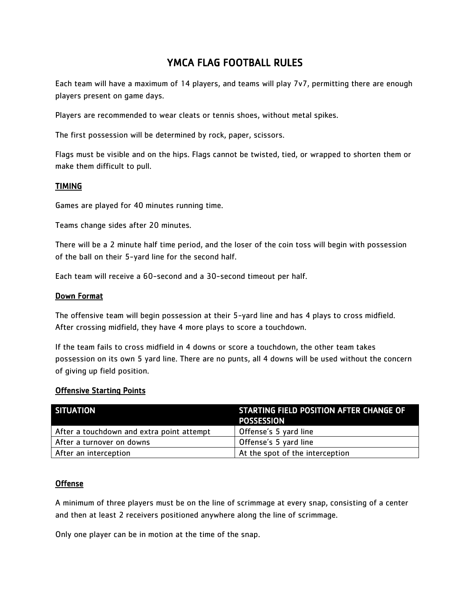# YMCA FLAG FOOTBALL RULES

Each team will have a maximum of 14 players, and teams will play 7v7, permitting there are enough players present on game days.

Players are recommended to wear cleats or tennis shoes, without metal spikes.

The first possession will be determined by rock, paper, scissors.

Flags must be visible and on the hips. Flags cannot be twisted, tied, or wrapped to shorten them or make them difficult to pull.

#### TIMING

Games are played for 40 minutes running time.

Teams change sides after 20 minutes.

There will be a 2 minute half time period, and the loser of the coin toss will begin with possession of the ball on their 5-yard line for the second half.

Each team will receive a 60-second and a 30-second timeout per half.

#### Down Format

The offensive team will begin possession at their 5-yard line and has 4 plays to cross midfield. After crossing midfield, they have 4 more plays to score a touchdown.

If the team fails to cross midfield in 4 downs or score a touchdown, the other team takes possession on its own 5 yard line. There are no punts, all 4 downs will be used without the concern of giving up field position.

#### Offensive Starting Points

| SITUATION                                 | <b>STARTING FIELD POSITION AFTER CHANGE OF</b><br><b>POSSESSION</b> |
|-------------------------------------------|---------------------------------------------------------------------|
| After a touchdown and extra point attempt | Offense's 5 yard line                                               |
| After a turnover on downs                 | Offense's 5 yard line                                               |
| After an interception                     | At the spot of the interception                                     |

#### Offense

A minimum of three players must be on the line of scrimmage at every snap, consisting of a center and then at least 2 receivers positioned anywhere along the line of scrimmage.

Only one player can be in motion at the time of the snap.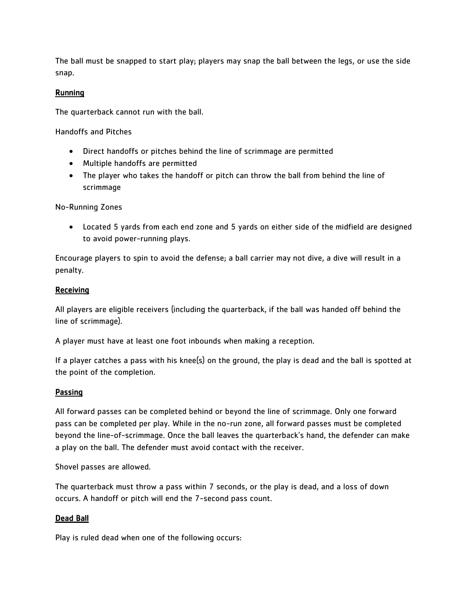The ball must be snapped to start play; players may snap the ball between the legs, or use the side snap.

## Running

The quarterback cannot run with the ball.

Handoffs and Pitches

- Direct handoffs or pitches behind the line of scrimmage are permitted
- Multiple handoffs are permitted
- The player who takes the handoff or pitch can throw the ball from behind the line of scrimmage

No-Running Zones

 Located 5 yards from each end zone and 5 yards on either side of the midfield are designed to avoid power-running plays.

Encourage players to spin to avoid the defense; a ball carrier may not dive, a dive will result in a penalty.

## Receiving

All players are eligible receivers (including the quarterback, if the ball was handed off behind the line of scrimmage).

A player must have at least one foot inbounds when making a reception.

If a player catches a pass with his knee(s) on the ground, the play is dead and the ball is spotted at the point of the completion.

## **Passing**

All forward passes can be completed behind or beyond the line of scrimmage. Only one forward pass can be completed per play. While in the no-run zone, all forward passes must be completed beyond the line-of-scrimmage. Once the ball leaves the quarterback's hand, the defender can make a play on the ball. The defender must avoid contact with the receiver.

Shovel passes are allowed.

The quarterback must throw a pass within 7 seconds, or the play is dead, and a loss of down occurs. A handoff or pitch will end the 7-second pass count.

## Dead Ball

Play is ruled dead when one of the following occurs: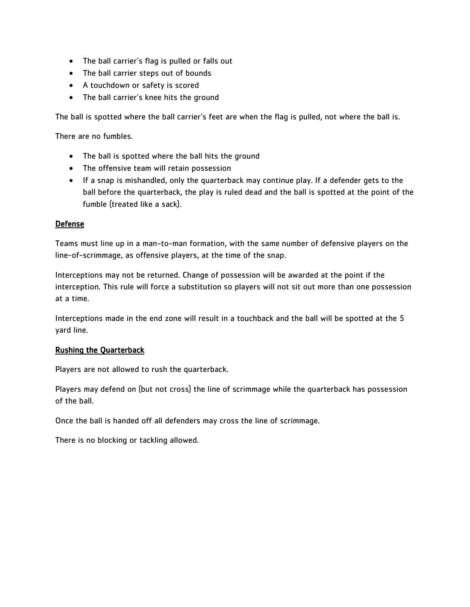- The ball carrier's flag is pulled or falls out
- The ball carrier steps out of bounds
- A touchdown or safety is scored
- The ball carrier's knee hits the ground

The ball is spotted where the ball carrier's feet are when the flag is pulled, not where the ball is.

There are no fumbles.

- The ball is spotted where the ball hits the ground
- The offensive team will retain possession
- If a snap is mishandled, only the quarterback may continue play. If a defender gets to the ball before the quarterback, the play is ruled dead and the ball is spotted at the point of the fumble (treated like a sack).

#### **Defense**

Teams must line up in a man-to-man formation, with the same number of defensive players on the line-of-scrimmage, as offensive players, at the time of the snap.

Interceptions may not be returned. Change of possession will be awarded at the point if the interception. This rule will force a substitution so players will not sit out more than one possession at a time.

Interceptions made in the end zone will result in a touchback and the ball will be spotted at the 5 yard line.

## Rushing the Quarterback

Players are not allowed to rush the quarterback.

Players may defend on (but not cross) the line of scrimmage while the quarterback has possession of the ball.

Once the ball is handed off all defenders may cross the line of scrimmage.

There is no blocking or tackling allowed.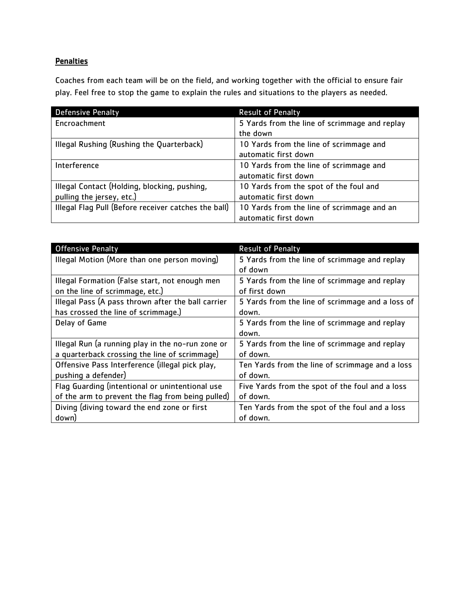## **Penalties**

Coaches from each team will be on the field, and working together with the official to ensure fair play. Feel free to stop the game to explain the rules and situations to the players as needed.

| <b>Defensive Penalty</b>                             | <b>Result of Penalty</b>                      |
|------------------------------------------------------|-----------------------------------------------|
| Encroachment                                         | 5 Yards from the line of scrimmage and replay |
|                                                      | the down                                      |
| Illegal Rushing (Rushing the Quarterback)            | 10 Yards from the line of scrimmage and       |
|                                                      | automatic first down                          |
| Interference                                         | 10 Yards from the line of scrimmage and       |
|                                                      | automatic first down                          |
| Illegal Contact (Holding, blocking, pushing,         | 10 Yards from the spot of the foul and        |
| pulling the jersey, etc.)                            | automatic first down                          |
| Illegal Flag Pull (Before receiver catches the ball) | 10 Yards from the line of scrimmage and an    |
|                                                      | automatic first down                          |

| <b>Offensive Penalty</b>                           | <b>Result of Penalty</b>                         |
|----------------------------------------------------|--------------------------------------------------|
| Illegal Motion (More than one person moving)       | 5 Yards from the line of scrimmage and replay    |
|                                                    | of down                                          |
| Illegal Formation (False start, not enough men     | 5 Yards from the line of scrimmage and replay    |
| on the line of scrimmage, etc.)                    | of first down                                    |
| Illegal Pass (A pass thrown after the ball carrier | 5 Yards from the line of scrimmage and a loss of |
| has crossed the line of scrimmage.)                | down.                                            |
| Delay of Game                                      | 5 Yards from the line of scrimmage and replay    |
|                                                    | down.                                            |
| Illegal Run (a running play in the no-run zone or  | 5 Yards from the line of scrimmage and replay    |
| a quarterback crossing the line of scrimmage)      | of down.                                         |
| Offensive Pass Interference (illegal pick play,    | Ten Yards from the line of scrimmage and a loss  |
| pushing a defender)                                | of down.                                         |
| Flag Guarding (intentional or unintentional use    | Five Yards from the spot of the foul and a loss  |
| of the arm to prevent the flag from being pulled)  | of down.                                         |
| Diving (diving toward the end zone or first        | Ten Yards from the spot of the foul and a loss   |
| down)                                              | of down.                                         |